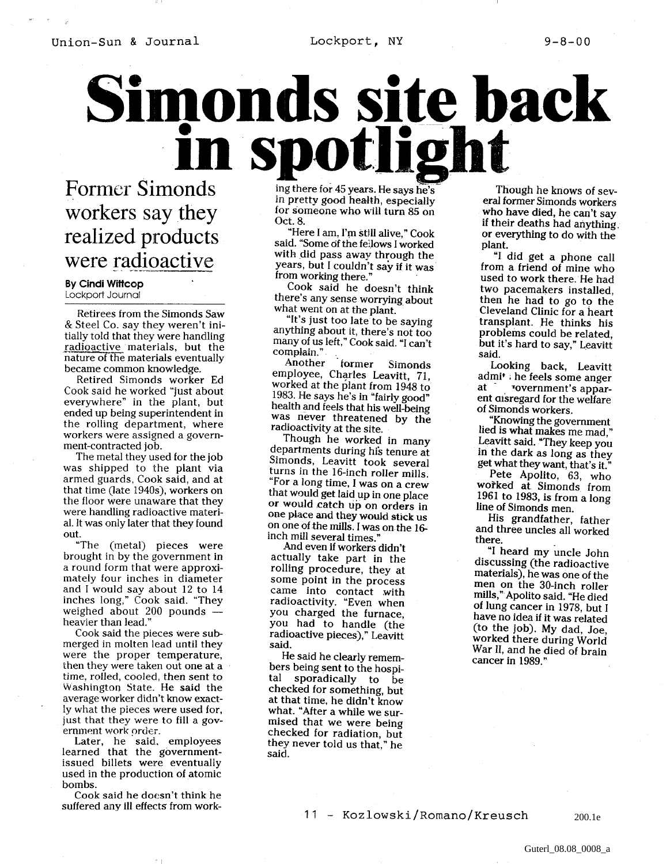Union-Sun & Journal Lockport, NY 9-8-00

## **Simonds site back in sp**

Former Simonds workers say they realized products were radioactive

## **By Cindi Wittcop** Lockport Journal

Retirees from the Simonds Saw & Steel Co. say they weren't initially told that they were handling radioactive materials, but the nature of the materials eventually became common knowledge.

Retired Simonds worker Ed Cook said he worked "just about everywhere" in the plant, but ended up being superintendent in the rolling department, where workers were assigned a government-contracted job.

The metal they used for the job was shipped to the plant via armed guards, Cook said, and at that time (late 1940s), workers on the floor were unaware that they were handling radioactive material. It was only later that they found out.

"The (metal) pieces were brought in by the government in a round form that were approximately four inches in diameter and I would say about 12 to 14 inches long," Cook said. "They weighed about 200 pounds heavier than lead."

Cook said the pieces were submerged in molten lead until they were the proper temperature, then they were taken out one at a time, rolled, cooled, then sent to Washington State. He said the average worker didn't know exactly what the pieces were used for, just that they were to fill a government work order.

Later, he said, employees learned that the governmentissued billets were eventually used in the production of atomic bombs.

Cook said he doesn't think he suffered any ill effects from working there for 45 years. He says *he's* in pretty good health, especially for someone who will turn 85 on Oct. 8.

"Here I am, I'm still alive," Cook said. "Some of the fellows I worked with did pass away through the years, but I couldn't say if it was from working there."

Cook said he doesn't think there's any sense worrying about what went on at the plant.

"It's just too late to be saying anything about it, there's not too many of us left," Cook said. "I can't complain."

former Simonds employee, Charles Leavitt, 71, worked at the plant from 1948 to 1983. He says he's in "fairly good" health and feels that his well-being was never threatened by the radioactivity at the site.

Though he worked in many departments during his tenure at Simonds, Leavitt took several turns in the 16-inch roller mills. "For a long time, I was on a crew that would get laid up in one place or would catch up on orders in one place and they would stick us on one of the mills. I was on the 16 inch mill several times."

.And even if workers didn't actually take part in the rolling procedure, they at some point in the process came into contact with radioactivity. "Even when you charged the furnace, you had to handle (the radioactive pieces)," Leavitt said.

He said he clearly remembers being sent to the hospi-<br>tal sporadically to be sporadically to be checked for something, but at that time, he didn't know what. "After a while we surmised that we were being checked for radiation, but they never told us that," he said.

Though he knows of several former Simonds workers who have died, he can't say if their deaths had anything, or everything to do with the plant.

"I did get a phone call from a friend of mine who used to work there. He had two pacemakers installed, then he had to go to the Cleveland Clinic for a heart transplant. He thinks his problems could be related, but it's hard to say," Leavitt said.

Looking back, Leavitt admi\* ; he feels some anger at vovernment's apparent disregard for the welfare of Simonds workers.

"Knowing the government lied is what makes me mad," Leavitt said. "They keep you in the dark as long as they get what they want, that's it."

Pete Apolito, 63, who worked at Simonds from 1961 to 1983, is from a long line of Simonds men.

His grandfather, father and three uncles all worked there.

"I heard my uncle John discussing (the radioactive materials), he was one of the men on the 30-inch roller mills," Apolito said. "He died of lung cancer in 1978, but I have no idea if it was related (to the job). My dad, Joe, worked there during World War II, and he died of brain cancer in 1989."